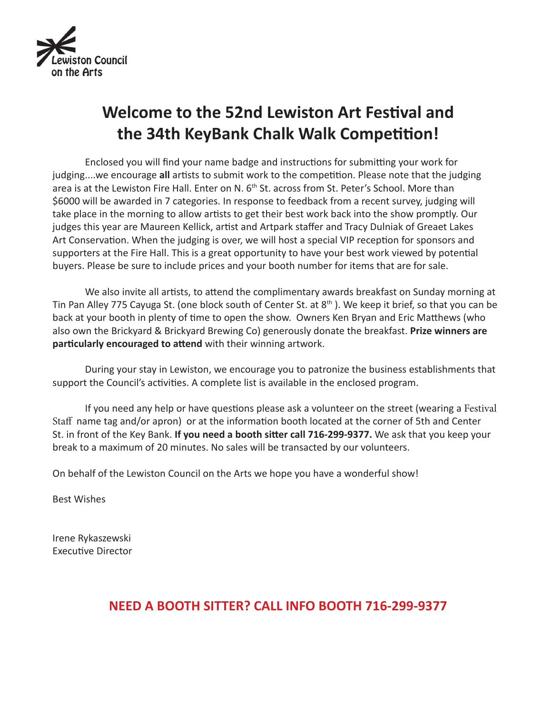

# **Welcome to the 52nd Lewiston Art Festival and the 34th KeyBank Chalk Walk Competition!**

Enclosed you will find your name badge and instructions for submitting your work for judging....we encourage **all** artists to submit work to the competition. Please note that the judging area is at the Lewiston Fire Hall. Enter on N. 6<sup>th</sup> St. across from St. Peter's School. More than \$6000 will be awarded in 7 categories. In response to feedback from a recent survey, judging will take place in the morning to allow artists to get their best work back into the show promptly. Our judges this year are Maureen Kellick, artist and Artpark staffer and Tracy Dulniak of Greaet Lakes Art Conservation. When the judging is over, we will host a special VIP reception for sponsors and supporters at the Fire Hall. This is a great opportunity to have your best work viewed by potential buyers. Please be sure to include prices and your booth number for items that are for sale.

We also invite all artists, to attend the complimentary awards breakfast on Sunday morning at Tin Pan Alley 775 Cayuga St. (one block south of Center St. at 8<sup>th</sup>). We keep it brief, so that you can be back at your booth in plenty of time to open the show. Owners Ken Bryan and Eric Matthews (who also own the Brickyard & Brickyard Brewing Co) generously donate the breakfast. **Prize winners are particularly encouraged to attend** with their winning artwork.

During your stay in Lewiston, we encourage you to patronize the business establishments that support the Council's activities. A complete list is available in the enclosed program.

If you need any help or have questions please ask a volunteer on the street (wearing a Festival Staff name tag and/or apron) or at the information booth located at the corner of 5th and Center St. in front of the Key Bank. **If you need a booth sitter call 716-299-9377.** We ask that you keep your break to a maximum of 20 minutes. No sales will be transacted by our volunteers.

On behalf of the Lewiston Council on the Arts we hope you have a wonderful show!

Best Wishes

Irene Rykaszewski Executive Director

## **NEED A BOOTH SITTER? CALL INFO BOOTH 716-299-9377**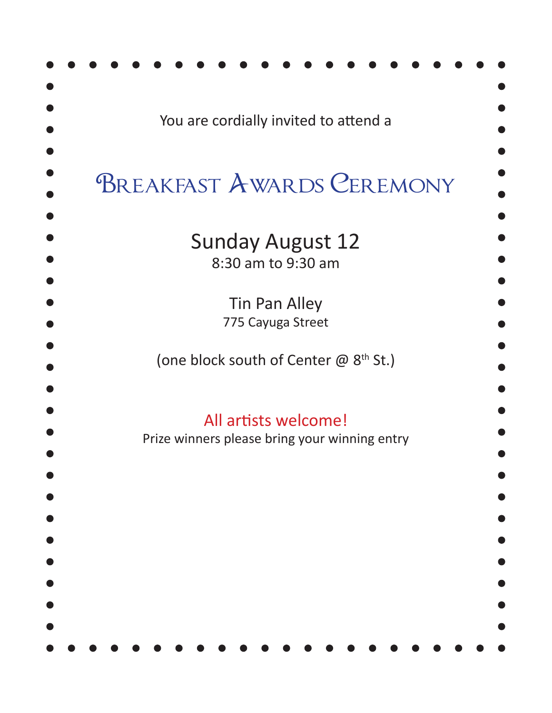| You are cordially invited to attend a                                 |
|-----------------------------------------------------------------------|
| <b>BREAKFAST AWARDS CEREMONY</b>                                      |
| <b>Sunday August 12</b><br>8:30 am to 9:30 am                         |
| <b>Tin Pan Alley</b><br>775 Cayuga Street                             |
| (one block south of Center @ 8 <sup>th</sup> St.)                     |
| All artists welcome!<br>Prize winners please bring your winning entry |
|                                                                       |
|                                                                       |
|                                                                       |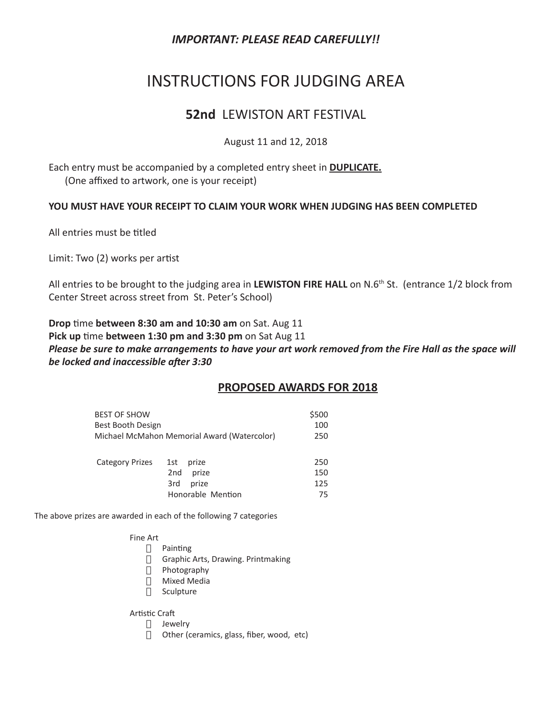### *IMPORTANT: PLEASE READ CAREFULLY!!*

## INSTRUCTIONS FOR JUDGING AREA

### **52nd** LEWISTON ART FESTIVAL

#### August 11 and 12, 2018

Each entry must be accompanied by a completed entry sheet in **DUPLICATE.** (One affixed to artwork, one is your receipt)

#### **YOU MUST HAVE YOUR RECEIPT TO CLAIM YOUR WORK WHEN JUDGING HAS BEEN COMPLETED**

All entries must be titled

Limit: Two (2) works per artist

All entries to be brought to the judging area in **LEWISTON FIRE HALL** on N.6th St. (entrance 1/2 block from Center Street across street from St. Peter's School)

**Drop** time **between 8:30 am and 10:30 am** on Sat. Aug 11 **Pick up** time **between 1:30 pm and 3:30 pm** on Sat Aug 11 *Please be sure to make arrangements to have your art work removed from the Fire Hall as the space will be locked and inaccessible after 3:30*

#### **PROPOSED AWARDS FOR 2018**

| <b>BEST OF SHOW</b><br>Best Booth Design | Michael McMahon Memorial Award (Watercolor)                                   | \$500<br>100<br>250     |
|------------------------------------------|-------------------------------------------------------------------------------|-------------------------|
| <b>Category Prizes</b>                   | 1st<br>prize<br>2 <sub>nd</sub><br>prize<br>prize<br>3rd<br>Honorable Mention | 250<br>150<br>125<br>75 |

The above prizes are awarded in each of the following 7 categories

Fine Art

- · Painting
- · Graphic Arts, Drawing. Printmaking
- · Photography
- **D** Mixed Media
- $\Box$  Sculpture

Artistic Craft

- **1** Jewelry
- $\Box$  Other (ceramics, glass, fiber, wood, etc)